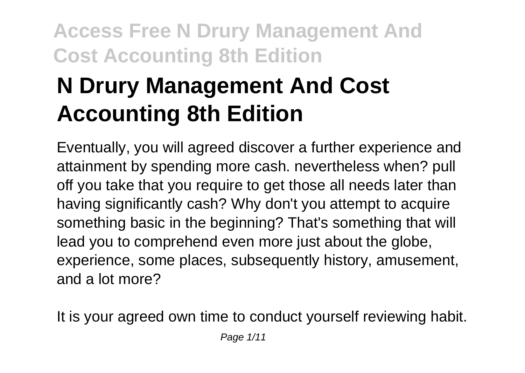# **N Drury Management And Cost Accounting 8th Edition**

Eventually, you will agreed discover a further experience and attainment by spending more cash. nevertheless when? pull off you take that you require to get those all needs later than having significantly cash? Why don't you attempt to acquire something basic in the beginning? That's something that will lead you to comprehend even more just about the globe, experience, some places, subsequently history, amusement, and a lot more?

It is your agreed own time to conduct yourself reviewing habit.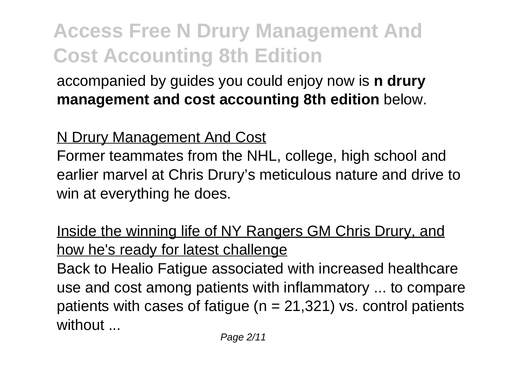accompanied by guides you could enjoy now is **n drury management and cost accounting 8th edition** below.

#### N Drury Management And Cost

Former teammates from the NHL, college, high school and earlier marvel at Chris Drury's meticulous nature and drive to win at everything he does.

#### Inside the winning life of NY Rangers GM Chris Drury, and how he's ready for latest challenge

Back to Healio Fatigue associated with increased healthcare use and cost among patients with inflammatory ... to compare patients with cases of fatigue ( $n = 21,321$ ) vs. control patients without ...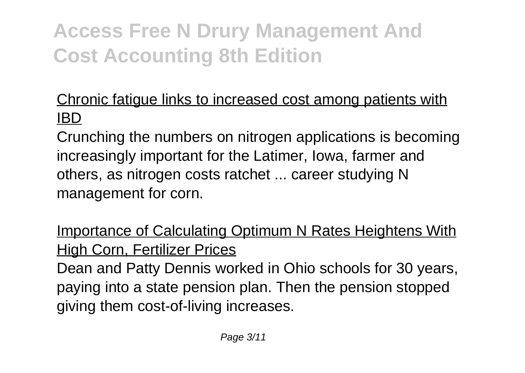#### Chronic fatigue links to increased cost among patients with IBD

Crunching the numbers on nitrogen applications is becoming increasingly important for the Latimer, Iowa, farmer and others, as nitrogen costs ratchet ... career studying N management for corn.

Importance of Calculating Optimum N Rates Heightens With High Corn, Fertilizer Prices

Dean and Patty Dennis worked in Ohio schools for 30 years, paying into a state pension plan. Then the pension stopped giving them cost-of-living increases.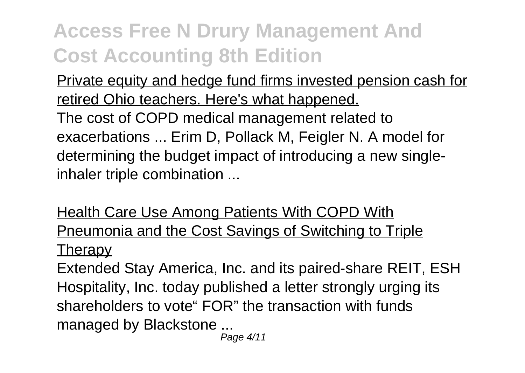Private equity and hedge fund firms invested pension cash for retired Ohio teachers. Here's what happened. The cost of COPD medical management related to exacerbations ... Erim D, Pollack M, Feigler N. A model for determining the budget impact of introducing a new single-

inhaler triple combination ...

Health Care Use Among Patients With COPD With Pneumonia and the Cost Savings of Switching to Triple **Therapy** 

Extended Stay America, Inc. and its paired-share REIT, ESH Hospitality, Inc. today published a letter strongly urging its shareholders to vote" FOR" the transaction with funds managed by Blackstone ...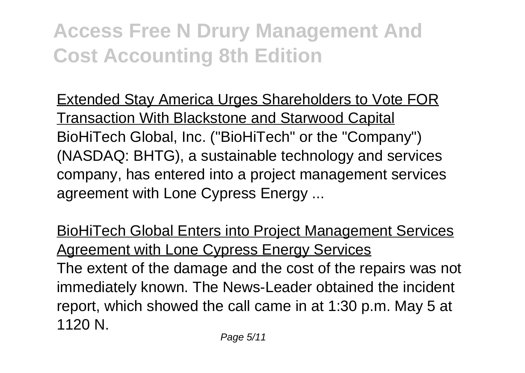Extended Stay America Urges Shareholders to Vote FOR Transaction With Blackstone and Starwood Capital BioHiTech Global, Inc. ("BioHiTech" or the "Company") (NASDAQ: BHTG), a sustainable technology and services company, has entered into a project management services agreement with Lone Cypress Energy ...

BioHiTech Global Enters into Project Management Services Agreement with Lone Cypress Energy Services The extent of the damage and the cost of the repairs was not immediately known. The News-Leader obtained the incident report, which showed the call came in at 1:30 p.m. May 5 at 1120 N.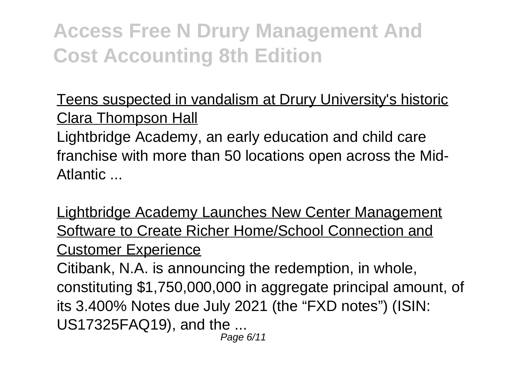Teens suspected in vandalism at Drury University's historic Clara Thompson Hall

Lightbridge Academy, an early education and child care franchise with more than 50 locations open across the Mid-Atlantic ...

Lightbridge Academy Launches New Center Management Software to Create Richer Home/School Connection and Customer Experience

Citibank, N.A. is announcing the redemption, in whole, constituting \$1,750,000,000 in aggregate principal amount, of its 3.400% Notes due July 2021 (the "FXD notes") (ISIN: US17325FAQ19), and the ...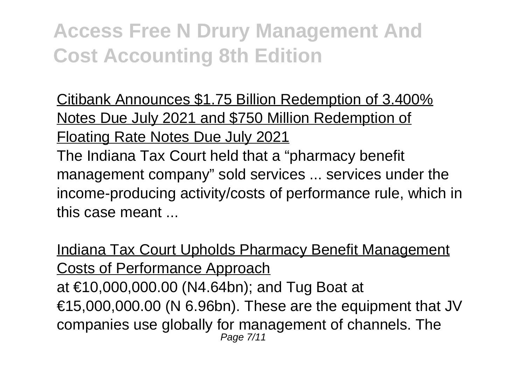Citibank Announces \$1.75 Billion Redemption of 3.400% Notes Due July 2021 and \$750 Million Redemption of Floating Rate Notes Due July 2021

The Indiana Tax Court held that a "pharmacy benefit management company" sold services ... services under the income-producing activity/costs of performance rule, which in this case meant

Indiana Tax Court Upholds Pharmacy Benefit Management Costs of Performance Approach at €10,000,000.00 (N4.64bn); and Tug Boat at €15,000,000.00 (N 6.96bn). These are the equipment that JV companies use globally for management of channels. The Page 7/11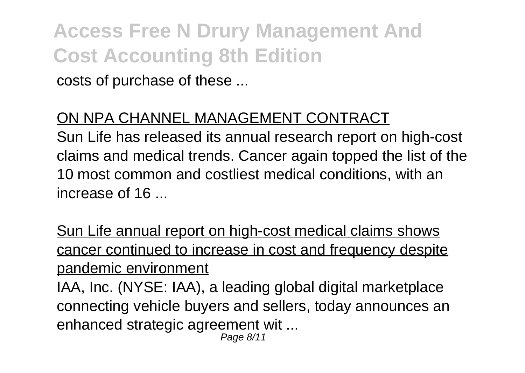costs of purchase of these ...

#### ON NPA CHANNEL MANAGEMENT CONTRACT

Sun Life has released its annual research report on high-cost claims and medical trends. Cancer again topped the list of the 10 most common and costliest medical conditions, with an increase of 16 ...

Sun Life annual report on high-cost medical claims shows cancer continued to increase in cost and frequency despite pandemic environment

IAA, Inc. (NYSE: IAA), a leading global digital marketplace connecting vehicle buyers and sellers, today announces an enhanced strategic agreement wit ...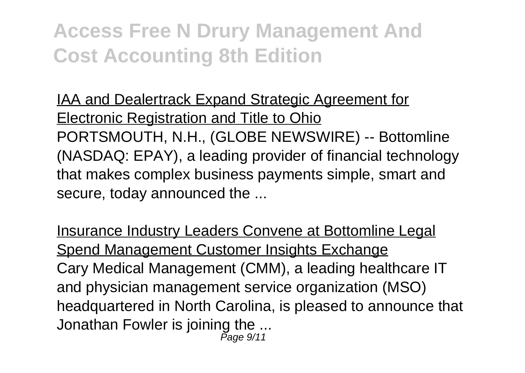IAA and Dealertrack Expand Strategic Agreement for Electronic Registration and Title to Ohio PORTSMOUTH, N.H., (GLOBE NEWSWIRE) -- Bottomline (NASDAQ: EPAY), a leading provider of financial technology that makes complex business payments simple, smart and secure, today announced the ...

Insurance Industry Leaders Convene at Bottomline Legal Spend Management Customer Insights Exchange Cary Medical Management (CMM), a leading healthcare IT and physician management service organization (MSO) headquartered in North Carolina, is pleased to announce that Jonathan Fowler is joining the ... Page 9/11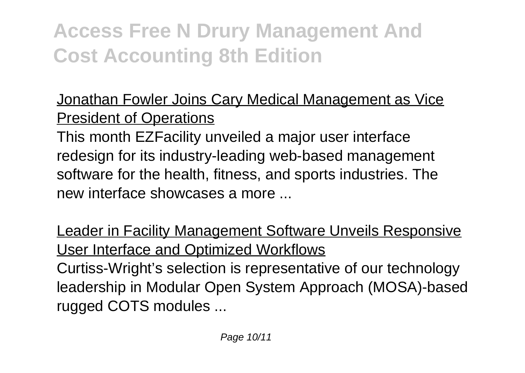Jonathan Fowler Joins Cary Medical Management as Vice President of Operations

This month EZFacility unveiled a major user interface redesign for its industry-leading web-based management software for the health, fitness, and sports industries. The new interface showcases a more

Leader in Facility Management Software Unveils Responsive User Interface and Optimized Workflows Curtiss-Wright's selection is representative of our technology leadership in Modular Open System Approach (MOSA)-based rugged COTS modules ...